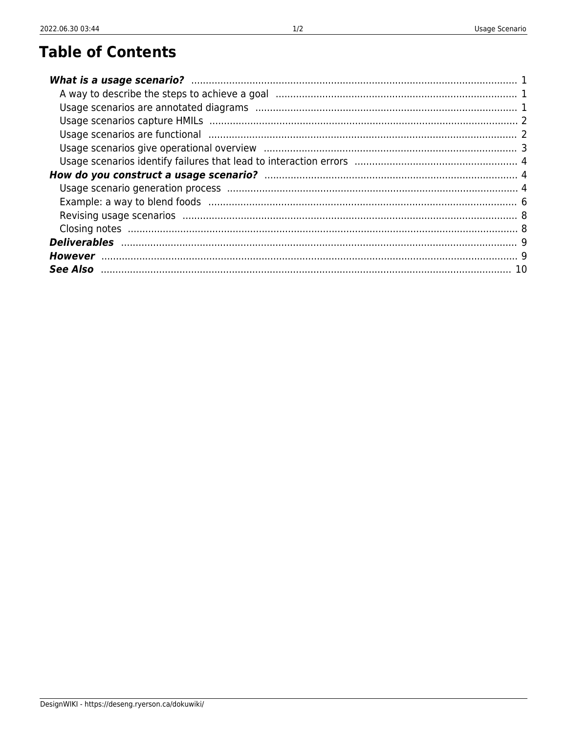## **Table of Contents**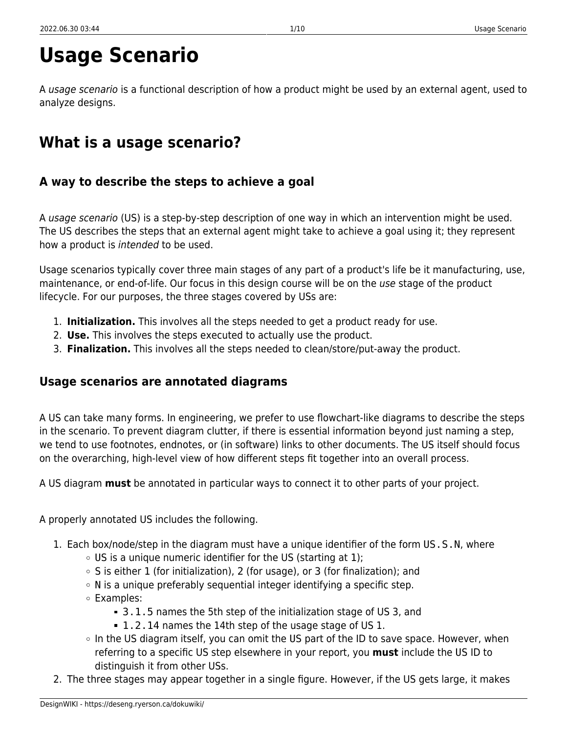# **Usage Scenario**

A *usage scenario* is a functional description of how a product might be used by an external agent, used to analyze designs.

## <span id="page-2-0"></span>**What is a usage scenario?**

## <span id="page-2-1"></span>**A way to describe the steps to achieve a goal**

A usage scenario (US) is a step-by-step description of one way in which an intervention might be used. The US describes the steps that an external agent might take to achieve a goal using it; they represent how a product is intended to be used.

Usage scenarios typically cover three main stages of any part of a product's life be it manufacturing, use, maintenance, or end-of-life. Our focus in this design course will be on the use stage of the product lifecycle. For our purposes, the three stages covered by USs are:

- 1. **Initialization.** This involves all the steps needed to get a product ready for use.
- 2. **Use.** This involves the steps executed to actually use the product.
- 3. **Finalization.** This involves all the steps needed to clean/store/put-away the product.

### <span id="page-2-2"></span>**Usage scenarios are annotated diagrams**

A US can take many forms. In engineering, we prefer to use flowchart-like diagrams to describe the steps in the scenario. To prevent diagram clutter, if there is essential information beyond just naming a step, we tend to use footnotes, endnotes, or (in software) links to other documents. The US itself should focus on the overarching, high-level view of how different steps fit together into an overall process.

A US diagram **must** be annotated in particular ways to connect it to other parts of your project.

A properly annotated US includes the following.

- 1. Each box/node/step in the diagram must have a unique identifier of the form US.S.N, where
	- $\circ$  US is a unique numeric identifier for the US (starting at 1);
	- $\circ$  S is either 1 (for initialization), 2 (for usage), or 3 (for finalization); and
	- $\circ$  N is a unique preferably sequential integer identifying a specific step.
	- Examples:
		- 3.1.5 names the 5th step of the initialization stage of US 3, and
		- 1.2.14 names the 14th step of the usage stage of US 1.
	- $\circ$  In the US diagram itself, you can omit the US part of the ID to save space. However, when referring to a specific US step elsewhere in your report, you **must** include the US ID to distinguish it from other USs.
- 2. The three stages may appear together in a single figure. However, if the US gets large, it makes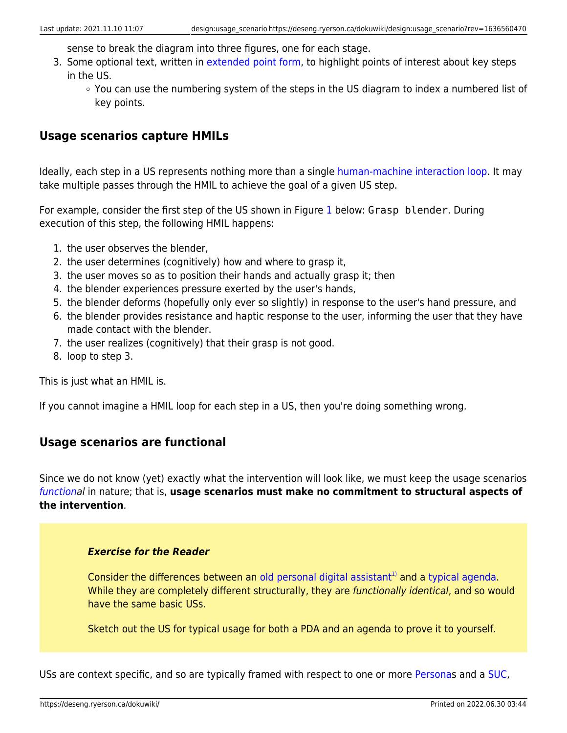sense to break the diagram into three figures, one for each stage.

- 3. Some optional text, written in [extended point form,](https://deseng.ryerson.ca/dokuwiki/teaching:extended_point_form) to highlight points of interest about key steps in the US.
	- You can use the numbering system of the steps in the US diagram to index a numbered list of key points.

### <span id="page-3-0"></span>**Usage scenarios capture HMILs**

Ideally, each step in a US represents nothing more than a single [human-machine interaction loop](https://deseng.ryerson.ca/dokuwiki/design:human-machine_interaction_loop). It may take multiple passes through the HMIL to achieve the goal of a given US step.

For example, consider the first step of the US shown in Figure [1](#page--1-0) below: Grasp blender. During execution of this step, the following HMIL happens:

- 1. the user observes the blender,
- 2. the user determines (cognitively) how and where to grasp it,
- 3. the user moves so as to position their hands and actually grasp it; then
- 4. the blender experiences pressure exerted by the user's hands,
- 5. the blender deforms (hopefully only ever so slightly) in response to the user's hand pressure, and
- 6. the blender provides resistance and haptic response to the user, informing the user that they have made contact with the blender.
- 7. the user realizes (cognitively) that their grasp is not good.
- 8. loop to step 3.

This is just what an HMIL is.

If you cannot imagine a HMIL loop for each step in a US, then you're doing something wrong.

### <span id="page-3-1"></span>**Usage scenarios are functional**

Since we do not know (yet) exactly what the intervention will look like, we must keep the usage scenarios [functiona](https://deseng.ryerson.ca/dokuwiki/design:function)l in nature; that is, **usage scenarios must make no commitment to structural aspects of the intervention**.

#### *Exercise for the Reader*

Consider the differences between an [old personal digital assistant](https://deseng.ryerson.ca/dokuwiki/design:palm_pilot_requirements_case_study)<sup>[1\)](#page--1-0)</sup> and a [typical agenda](https://quovadisplanners.com/catalog/business). While they are completely different structurally, they are functionally identical, and so would have the same basic USs.

Sketch out the US for typical usage for both a PDA and an agenda to prove it to yourself.

USs are context specific, and so are typically framed with respect to one or more [Personas](https://deseng.ryerson.ca/dokuwiki/design:persona) and a [SUC,](https://deseng.ryerson.ca/dokuwiki/design:suc)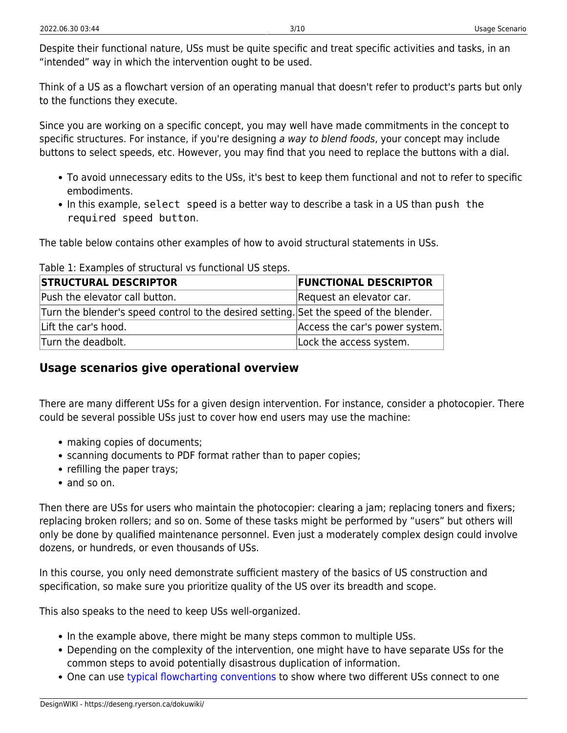Despite their functional nature, USs must be quite specific and treat specific activities and tasks, in an "intended" way in which the intervention ought to be used.

Think of a US as a flowchart version of an operating manual that doesn't refer to product's parts but only to the functions they execute.

Since you are working on a specific concept, you may well have made commitments in the concept to specific structures. For instance, if you're designing a way to blend foods, your concept may include buttons to select speeds, etc. However, you may find that you need to replace the buttons with a dial.

- To avoid unnecessary edits to the USs, it's best to keep them functional and not to refer to specific embodiments.
- In this example, select speed is a better way to describe a task in a US than push the required speed button.

The table below contains other examples of how to avoid structural statements in USs.

| <b>STRUCTURAL DESCRIPTOR</b>                                                           | <b>FUNCTIONAL DESCRIPTOR</b>   |  |
|----------------------------------------------------------------------------------------|--------------------------------|--|
| Push the elevator call button.                                                         | Request an elevator car.       |  |
| Turn the blender's speed control to the desired setting. Set the speed of the blender. |                                |  |
| Lift the car's hood.                                                                   | Access the car's power system. |  |
| Turn the deadbolt.                                                                     | Lock the access system.        |  |

Table 1: Examples of structural vs functional US steps.

## <span id="page-4-0"></span>**Usage scenarios give operational overview**

There are many different USs for a given design intervention. For instance, consider a photocopier. There could be several possible USs just to cover how end users may use the machine:

- making copies of documents;
- scanning documents to PDF format rather than to paper copies;
- refilling the paper trays;
- and so on.

Then there are USs for users who maintain the photocopier: clearing a jam; replacing toners and fixers; replacing broken rollers; and so on. Some of these tasks might be performed by "users" but others will only be done by qualified maintenance personnel. Even just a moderately complex design could involve dozens, or hundreds, or even thousands of USs.

In this course, you only need demonstrate sufficient mastery of the basics of US construction and specification, so make sure you prioritize quality of the US over its breadth and scope.

This also speaks to the need to keep USs well-organized.

- In the example above, there might be many steps common to multiple USs.
- Depending on the complexity of the intervention, one might have to have separate USs for the common steps to avoid potentially disastrous duplication of information.
- One can use [typical flowcharting conventions](https://en.wikipedia.org/wiki/Flowchart) to show where two different USs connect to one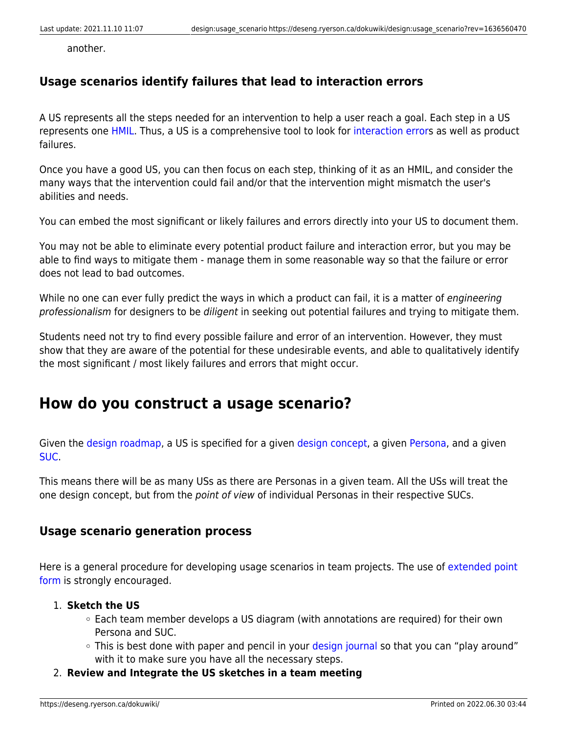another.

### <span id="page-5-0"></span>**Usage scenarios identify failures that lead to interaction errors**

A US represents all the steps needed for an intervention to help a user reach a goal. Each step in a US represents one [HMIL.](https://deseng.ryerson.ca/dokuwiki/design:hmil) Thus, a US is a comprehensive tool to look for [interaction errors](https://deseng.ryerson.ca/dokuwiki/design:interaction_error) as well as product failures.

Once you have a good US, you can then focus on each step, thinking of it as an HMIL, and consider the many ways that the intervention could fail and/or that the intervention might mismatch the user's abilities and needs.

You can embed the most significant or likely failures and errors directly into your US to document them.

You may not be able to eliminate every potential product failure and interaction error, but you may be able to find ways to mitigate them - manage them in some reasonable way so that the failure or error does not lead to bad outcomes.

While no one can ever fully predict the ways in which a product can fail, it is a matter of engineering professionalism for designers to be diligent in seeking out potential failures and trying to mitigate them.

Students need not try to find every possible failure and error of an intervention. However, they must show that they are aware of the potential for these undesirable events, and able to qualitatively identify the most significant / most likely failures and errors that might occur.

## <span id="page-5-1"></span>**How do you construct a usage scenario?**

Given the [design roadmap](https://deseng.ryerson.ca/dokuwiki/design:design_roadmap), a US is specified for a given [design concept,](https://deseng.ryerson.ca/dokuwiki/design:design_concept) a given [Persona](https://deseng.ryerson.ca/dokuwiki/design:persona), and a given [SUC.](https://deseng.ryerson.ca/dokuwiki/design:suc)

This means there will be as many USs as there are Personas in a given team. All the USs will treat the one design concept, but from the point of view of individual Personas in their respective SUCs.

### <span id="page-5-2"></span>**Usage scenario generation process**

Here is a general procedure for developing usage scenarios in team projects. The use of [extended point](https://deseng.ryerson.ca/dokuwiki/teaching:extended_point_form) [form](https://deseng.ryerson.ca/dokuwiki/teaching:extended_point_form) is strongly encouraged.

#### 1. **Sketch the US**

- Each team member develops a US diagram (with annotations are required) for their own Persona and SUC.
- This is best done with paper and pencil in your [design journal](https://deseng.ryerson.ca/dokuwiki/design:design_journal) so that you can "play around" with it to make sure you have all the necessary steps.
- 2. **Review and Integrate the US sketches in a team meeting**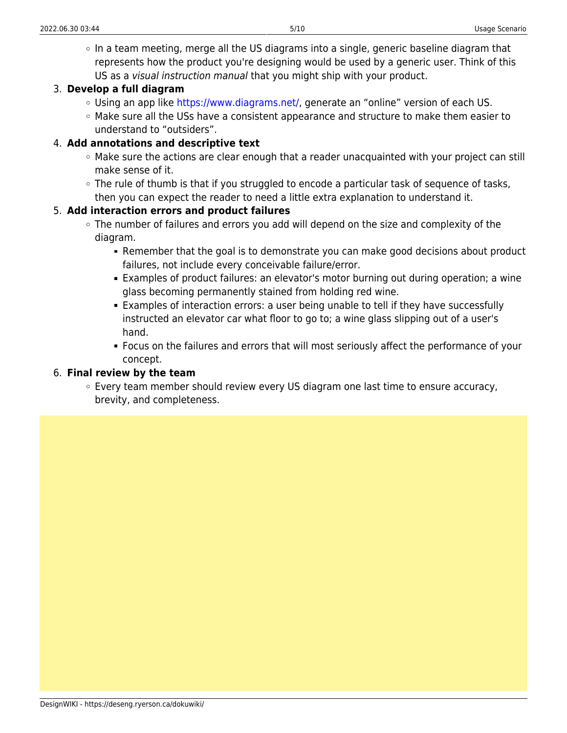$\circ$  In a team meeting, merge all the US diagrams into a single, generic baseline diagram that represents how the product you're designing would be used by a generic user. Think of this US as a visual instruction manual that you might ship with your product.

#### 3. **Develop a full diagram**

- Using an app like<https://www.diagrams.net/>, generate an "online" version of each US.
- $\circ$  Make sure all the USs have a consistent appearance and structure to make them easier to understand to "outsiders".

#### 4. **Add annotations and descriptive text**

- $\circ$  Make sure the actions are clear enough that a reader unacquainted with your project can still make sense of it.
- $\circ$  The rule of thumb is that if you struggled to encode a particular task of sequence of tasks, then you can expect the reader to need a little extra explanation to understand it.

#### 5. **Add interaction errors and product failures**

- The number of failures and errors you add will depend on the size and complexity of the diagram.
	- Remember that the goal is to demonstrate you can make good decisions about product failures, not include every conceivable failure/error.
	- Examples of product failures: an elevator's motor burning out during operation; a wine glass becoming permanently stained from holding red wine.
	- Examples of interaction errors: a user being unable to tell if they have successfully instructed an elevator car what floor to go to; a wine glass slipping out of a user's hand.
	- Focus on the failures and errors that will most seriously affect the performance of your concept.

#### 6. **Final review by the team**

Every team member should review every US diagram one last time to ensure accuracy, brevity, and completeness.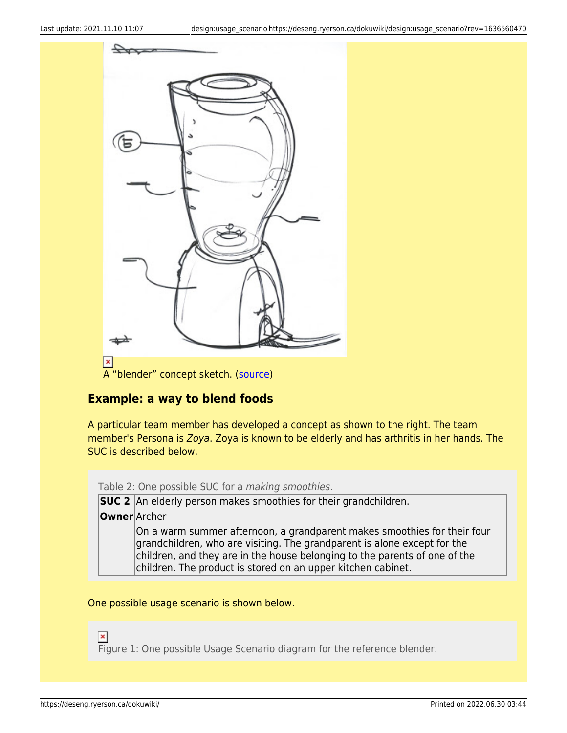

## <span id="page-7-0"></span>**Example: a way to blend foods**

A particular team member has developed a concept as shown to the right. The team member's Persona is Zoya. Zoya is known to be elderly and has arthritis in her hands. The SUC is described below.

Table 2: One possible SUC for a *making smoothies*.

| <b>SUC 2</b> An elderly person makes smoothies for their grandchildren.                                                                                                                                                                                                                            |  |  |
|----------------------------------------------------------------------------------------------------------------------------------------------------------------------------------------------------------------------------------------------------------------------------------------------------|--|--|
| <b>Owner</b> Archer                                                                                                                                                                                                                                                                                |  |  |
| On a warm summer afternoon, a grandparent makes smoothies for their four<br>grandchildren, who are visiting. The grandparent is alone except for the<br>children, and they are in the house belonging to the parents of one of the<br>children. The product is stored on an upper kitchen cabinet. |  |  |

One possible usage scenario is shown below.

 $\pmb{\times}$ 

Figure 1: One possible Usage Scenario diagram for the reference blender.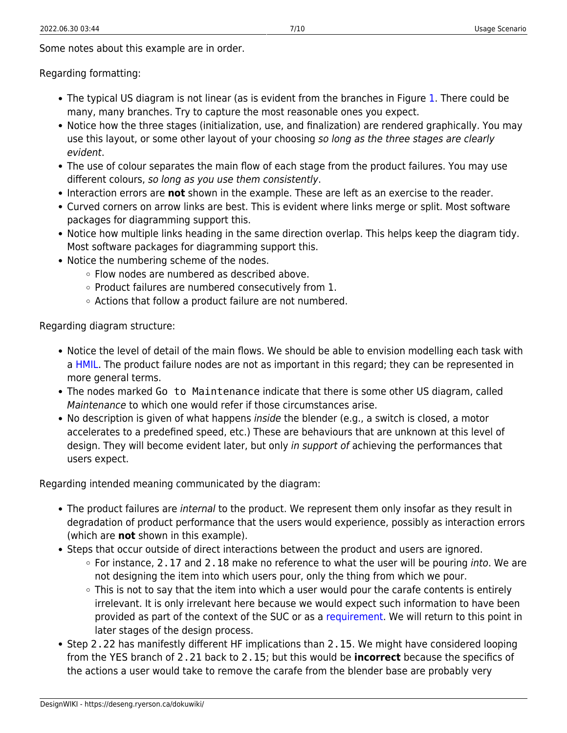Some notes about this example are in order.

Regarding formatting:

- The typical US diagram is not linear (as is evident from the branches in Figure [1.](#page--1-0) There could be many, many branches. Try to capture the most reasonable ones you expect.
- Notice how the three stages (initialization, use, and finalization) are rendered graphically. You may use this layout, or some other layout of your choosing so long as the three stages are clearly evident.
- The use of colour separates the main flow of each stage from the product failures. You may use different colours, so long as you use them consistently.
- Interaction errors are **not** shown in the example. These are left as an exercise to the reader.
- Curved corners on arrow links are best. This is evident where links merge or split. Most software packages for diagramming support this.
- Notice how multiple links heading in the same direction overlap. This helps keep the diagram tidy. Most software packages for diagramming support this.
- Notice the numbering scheme of the nodes.
	- Flow nodes are numbered as described above.
	- $\circ$  Product failures are numbered consecutively from 1.
	- Actions that follow a product failure are not numbered.

Regarding diagram structure:

- Notice the level of detail of the main flows. We should be able to envision modelling each task with a [HMIL](https://deseng.ryerson.ca/dokuwiki/design:hmil). The product failure nodes are not as important in this regard; they can be represented in more general terms.
- The nodes marked Go to Maintenance indicate that there is some other US diagram, called Maintenance to which one would refer if those circumstances arise.
- No description is given of what happens *inside* the blender (e.g., a switch is closed, a motor accelerates to a predefined speed, etc.) These are behaviours that are unknown at this level of design. They will become evident later, but only in support of achieving the performances that users expect.

Regarding intended meaning communicated by the diagram:

- The product failures are internal to the product. We represent them only insofar as they result in degradation of product performance that the users would experience, possibly as interaction errors (which are **not** shown in this example).
- Steps that occur outside of direct interactions between the product and users are ignored.
	- $\circ$  For instance, 2.17 and 2.18 make no reference to what the user will be pouring into. We are not designing the item into which users pour, only the thing from which we pour.
	- $\circ$  This is not to say that the item into which a user would pour the carafe contents is entirely irrelevant. It is only irrelevant here because we would expect such information to have been provided as part of the context of the SUC or as a [requirement.](https://deseng.ryerson.ca/dokuwiki/design:requirement) We will return to this point in later stages of the design process.
- Step 2.22 has manifestly different HF implications than 2.15. We might have considered looping from the YES branch of 2.21 back to 2.15; but this would be **incorrect** because the specifics of the actions a user would take to remove the carafe from the blender base are probably very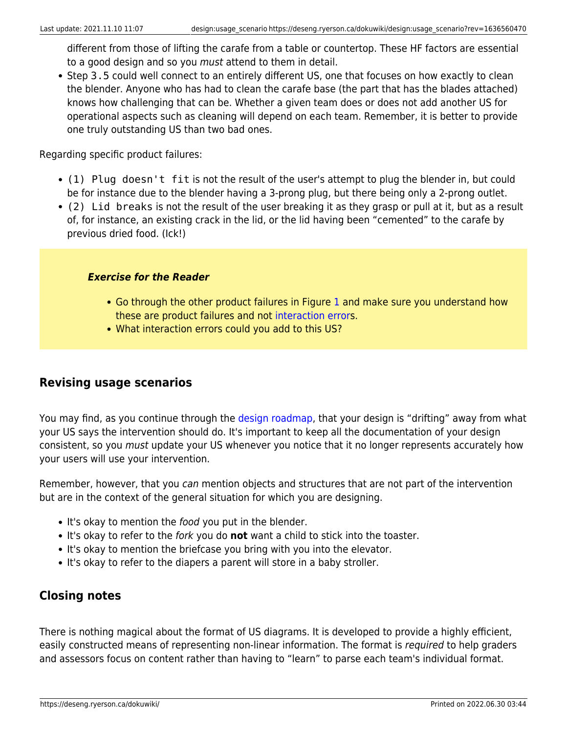different from those of lifting the carafe from a table or countertop. These HF factors are essential to a good design and so you must attend to them in detail.

• Step 3.5 could well connect to an entirely different US, one that focuses on how exactly to clean the blender. Anyone who has had to clean the carafe base (the part that has the blades attached) knows how challenging that can be. Whether a given team does or does not add another US for operational aspects such as cleaning will depend on each team. Remember, it is better to provide one truly outstanding US than two bad ones.

Regarding specific product failures:

- (1) Plug doesn't fit is not the result of the user's attempt to plug the blender in, but could be for instance due to the blender having a 3-prong plug, but there being only a 2-prong outlet.
- (2) Lid breaks is not the result of the user breaking it as they grasp or pull at it, but as a result of, for instance, an existing crack in the lid, or the lid having been "cemented" to the carafe by previous dried food. (Ick!)

#### *Exercise for the Reader*

- Go through the other product failures in Figure [1](#page--1-0) and make sure you understand how these are product failures and not [interaction error](https://deseng.ryerson.ca/dokuwiki/design:interaction_error)s.
- What interaction errors could you add to this US?

### <span id="page-9-0"></span>**Revising usage scenarios**

You may find, as you continue through the [design roadmap,](https://deseng.ryerson.ca/dokuwiki/design:design_roadmap) that your design is "drifting" away from what your US says the intervention should do. It's important to keep all the documentation of your design consistent, so you must update your US whenever you notice that it no longer represents accurately how your users will use your intervention.

Remember, however, that you can mention objects and structures that are not part of the intervention but are in the context of the general situation for which you are designing.

- It's okay to mention the *food* you put in the blender.
- It's okay to refer to the fork you do **not** want a child to stick into the toaster.
- It's okay to mention the briefcase you bring with you into the elevator.
- It's okay to refer to the diapers a parent will store in a baby stroller.

## <span id="page-9-1"></span>**Closing notes**

There is nothing magical about the format of US diagrams. It is developed to provide a highly efficient, easily constructed means of representing non-linear information. The format is required to help graders and assessors focus on content rather than having to "learn" to parse each team's individual format.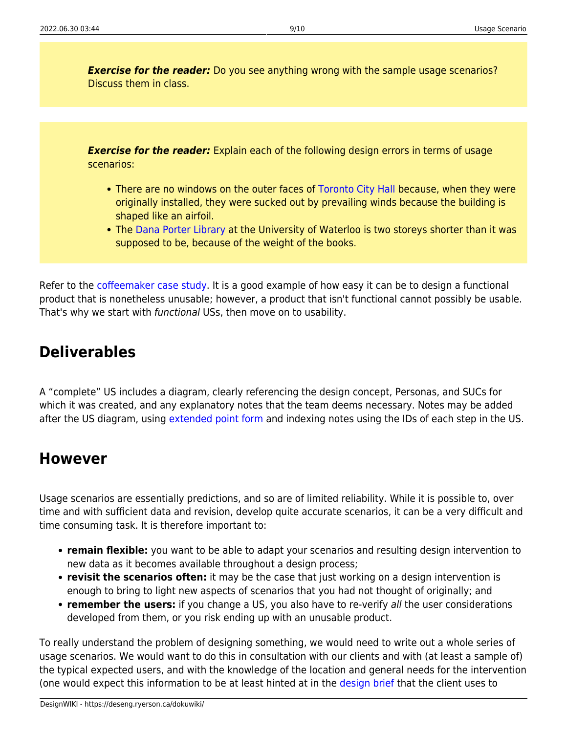**Exercise for the reader:** Do you see anything wrong with the sample usage scenarios? Discuss them in class.

**Exercise for the reader:** Explain each of the following design errors in terms of usage scenarios:

- There are no windows on the outer faces of [Toronto City Hall](http://www.toronto.ca/city_hall_tour/index.htm) because, when they were originally installed, they were sucked out by prevailing winds because the building is shaped like an airfoil.
- The [Dana Porter Library](http://www.brenner.ca/dand%20porter%20library3.jpg) at the University of Waterloo is two storeys shorter than it was supposed to be, because of the weight of the books.

Refer to the [coffeemaker case study](https://deseng.ryerson.ca/dokuwiki/design:coffeemaker_case_study). It is a good example of how easy it can be to design a functional product that is nonetheless unusable; however, a product that isn't functional cannot possibly be usable. That's why we start with functional USs, then move on to usability.

## <span id="page-10-0"></span>**Deliverables**

A "complete" US includes a diagram, clearly referencing the design concept, Personas, and SUCs for which it was created, and any explanatory notes that the team deems necessary. Notes may be added after the US diagram, using [extended point form](https://deseng.ryerson.ca/dokuwiki/teaching:extended_point_form) and indexing notes using the IDs of each step in the US.

## <span id="page-10-1"></span>**However**

Usage scenarios are essentially predictions, and so are of limited reliability. While it is possible to, over time and with sufficient data and revision, develop quite accurate scenarios, it can be a very difficult and time consuming task. It is therefore important to:

- **remain flexible:** you want to be able to adapt your scenarios and resulting design intervention to new data as it becomes available throughout a design process;
- **revisit the scenarios often:** it may be the case that just working on a design intervention is enough to bring to light new aspects of scenarios that you had not thought of originally; and
- **remember the users:** if you change a US, you also have to re-verify all the user considerations developed from them, or you risk ending up with an unusable product.

To really understand the problem of designing something, we would need to write out a whole series of usage scenarios. We would want to do this in consultation with our clients and with (at least a sample of) the typical expected users, and with the knowledge of the location and general needs for the intervention (one would expect this information to be at least hinted at in the [design brief](https://deseng.ryerson.ca/dokuwiki/design:design_brief) that the client uses to